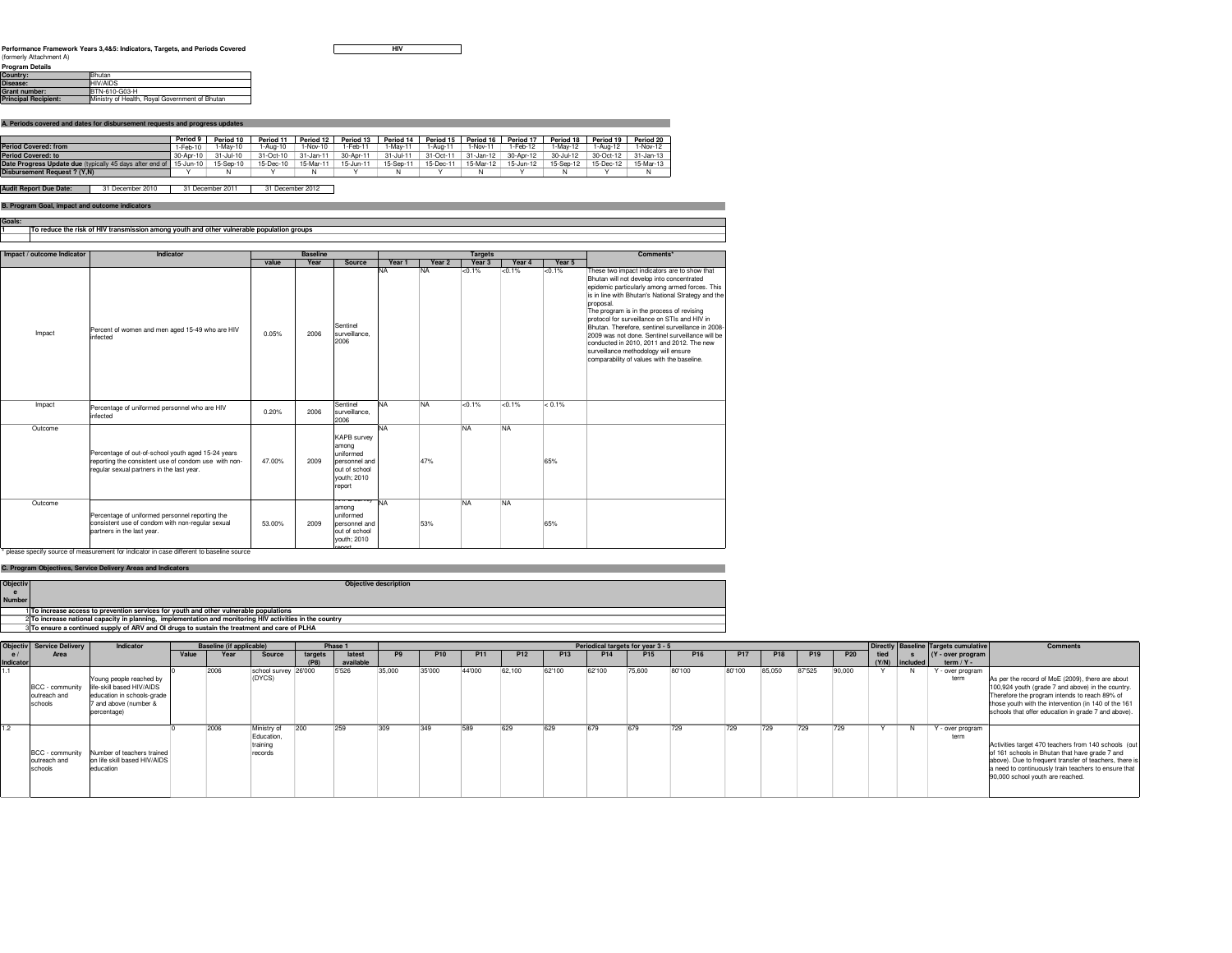**HIV**

 $\overline{\phantom{0}}$ 

| FIUUIAIII DULAIIS           |                                                |
|-----------------------------|------------------------------------------------|
| Country:                    | Bhutan                                         |
| Disease:                    | <b>HIVAIDS</b>                                 |
| Grant number:               | BTN-610-G03-H                                  |
| <b>Principal Recipient:</b> | Ministry of Health, Roval Government of Bhutan |

**A. Periods covered and dates for disbursement requests and progress updates**

|                                                          | Period 9        | Period 10 | Period 1            | Period 12       | Period 13 | Period 14  | Period 15 | Period 16     | Period 17 | Period 18 | Period 19           | Period 20 |
|----------------------------------------------------------|-----------------|-----------|---------------------|-----------------|-----------|------------|-----------|---------------|-----------|-----------|---------------------|-----------|
| <b>Period Covered: from</b>                              | $1-Feb-10$      | 1-Mav-10  | l-Aug-10            | 1-Nov-10        | $-Feb-11$ | 1-Mav-11   | $-Aua-11$ | -Nov-11       | 1-Feb-12  | -Mav-12   | $-Auq-12$           | -Nov-12   |
| <b>Period Covered: to</b>                                | $30 - Anr - 10$ | 31-Jul-10 | 31-Oct-10           | $31 - Jan - 11$ | 30-Apr-11 | 31-Jul-11  | 31-Oct-11 | $31 -$ Jan-12 | 30-Apr-12 | 30-Jul-12 | 30-Oct-12 31-Jan-13 |           |
| Date Progress Update due (typically 45 days after end of | 15-Jun-10       | 15-Sep-10 | 15-Dec-10 15-Mar-11 |                 | 15-Jun-11 | 15-Sep-11: | 15-Dec-1  | 15-Mar-12     | 15-Jun-12 |           | 15-Sep-12 15-Dec-12 | 15-Mar-13 |
| Disbursement Request ? (Y.N)                             |                 |           |                     |                 |           | N          |           |               |           |           |                     |           |
|                                                          |                 |           |                     |                 |           |            |           |               |           |           |                     |           |

31 December 2010 **Audit Report Due Date:** 31 December 2011 31 December 2012

## **B. Program Goal, impact and outcome indicators**

| B. Program Goal, impact and outcome indicators                                            |
|-------------------------------------------------------------------------------------------|
|                                                                                           |
|                                                                                           |
| To reduce the risk of HIV transmission among youth and other vulnerable population groups |
|                                                                                           |
|                                                                                           |

| Impact / outcome Indicator                   | Indicator                                                                                                                                                                                                                                            |        | <b>Baseline</b> |                                                                                                     |           |           | <b>Targets</b>    | Comments* |           |                                                                                                                                                                                                                                                                                                                                                                                                                                                                                                                                                         |
|----------------------------------------------|------------------------------------------------------------------------------------------------------------------------------------------------------------------------------------------------------------------------------------------------------|--------|-----------------|-----------------------------------------------------------------------------------------------------|-----------|-----------|-------------------|-----------|-----------|---------------------------------------------------------------------------------------------------------------------------------------------------------------------------------------------------------------------------------------------------------------------------------------------------------------------------------------------------------------------------------------------------------------------------------------------------------------------------------------------------------------------------------------------------------|
|                                              |                                                                                                                                                                                                                                                      | value  | Year            | Source                                                                                              | Year 1    | Year 2    | Year <sub>3</sub> | Year 4    | Year 5    |                                                                                                                                                                                                                                                                                                                                                                                                                                                                                                                                                         |
| Impact                                       | Percent of women and men aged 15-49 who are HIV<br>infected                                                                                                                                                                                          | 0.05%  | 2006            | Sentinel<br>surveillance.<br>2006                                                                   | <b>NA</b> | <b>NA</b> | < 0.1%            | $< 0.1\%$ | < 0.1%    | These two impact indicators are to show that<br>Bhutan will not develop into concentrated<br>epidemic particularly among armed forces. This<br>is in line with Bhutan's National Strategy and the<br>proposal.<br>The program is in the process of revising<br>protocol for surveillance on STIs and HIV in<br>Bhutan, Therefore, sentinel surveillance in 2008-<br>2009 was not done. Sentinel surveillance will be<br>conducted in 2010, 2011 and 2012. The new<br>surveillance methodology will ensure<br>comparability of values with the baseline. |
| Impact                                       | Percentage of uniformed personnel who are HIV<br>infected                                                                                                                                                                                            | 0.20%  | 2006            | Sentinel<br>surveillance.<br>2006                                                                   | <b>NA</b> | <b>NA</b> | $< 0.1\%$         | < 0.1%    | $< 0.1\%$ |                                                                                                                                                                                                                                                                                                                                                                                                                                                                                                                                                         |
| Outcome                                      | Percentage of out-of-school youth aged 15-24 years<br>reporting the consistent use of condom use with non-<br>regular sexual partners in the last year.                                                                                              | 47.00% | 2009            | <b>KAPB</b> survev<br>among<br>uniformed<br>personnel and<br>out of school<br>vouth: 2010<br>report | <b>NA</b> | 47%       | <b>NA</b>         | <b>NA</b> | 65%       |                                                                                                                                                                                                                                                                                                                                                                                                                                                                                                                                                         |
| Outcome<br><b>Contract Contract Contract</b> | Percentage of uniformed personnel reporting the<br>consistent use of condom with non-regular sexual<br>partners in the last year.<br>the contract of the contract of the contract of the contract of the contract of the contract of the contract of | 53.00% | 2009            | <del>an Discreey</del> NA<br>among<br>uniformed<br>personnel and<br>out of school<br>youth; 2010    |           | 53%       | <b>NA</b>         | <b>NA</b> | 65%       |                                                                                                                                                                                                                                                                                                                                                                                                                                                                                                                                                         |

## **C. Program Objectives, Service Delivery Areas and Indicators**

\* please specify source of measurement for indicator in case different to baseline source

|                 | C. Program Objectives, Service Delivery Areas and Indicators                                             |
|-----------------|----------------------------------------------------------------------------------------------------------|
| <b>Objectiv</b> | <b>Objective description</b>                                                                             |
|                 |                                                                                                          |
| <b>Number</b>   |                                                                                                          |
|                 | 1 To increase access to prevention services for youth and other vulnerable populations                   |
|                 | 2 To increase national capacity in planning, implementation and monitoring HIV activities in the country |
|                 | 3 To ensure a continued supply of ARV and OI drugs to sustain the treatment and care of PLHA             |

|                  | <b>Objectiv</b> Service Delivery           | Indicator                                                                                                                  |       | Baseline (if applicable) |                                                  |         | Phase 1   |        | <b>Periodical targets for year 3 - 5</b> |        |                 |        |                 |                 |                 |        |        |                 |            |      | Directly Baseline Targets cumulative | <b>Comments</b>          |                                                                                                                                                                                                                                                                       |
|------------------|--------------------------------------------|----------------------------------------------------------------------------------------------------------------------------|-------|--------------------------|--------------------------------------------------|---------|-----------|--------|------------------------------------------|--------|-----------------|--------|-----------------|-----------------|-----------------|--------|--------|-----------------|------------|------|--------------------------------------|--------------------------|-----------------------------------------------------------------------------------------------------------------------------------------------------------------------------------------------------------------------------------------------------------------------|
|                  | Area                                       |                                                                                                                            | Value | Year                     | Source                                           | targets | latest    | P9.    | <b>P10</b>                               | P11    | P <sub>12</sub> | P13    | P <sub>14</sub> | P <sub>15</sub> | P <sub>16</sub> |        |        | P <sub>19</sub> | <b>P20</b> | tied |                                      | Y - over program         |                                                                                                                                                                                                                                                                       |
| <b>Indicator</b> |                                            |                                                                                                                            |       |                          |                                                  | (P8)    | available |        |                                          |        |                 |        |                 |                 |                 |        |        |                 |            |      | (Y/N) included                       | term $/ Y -$             |                                                                                                                                                                                                                                                                       |
|                  | BCC - community<br>outreach and<br>schools | Young people reached by<br>life-skill based HIV/AIDS<br>education in schools-grade<br>7 and above (number &<br>percentage) |       | 12006                    | school survey 26'000<br>'DYCS)                   |         | 5'526     | 35,000 | 35'000                                   | 44'000 | 62.100          | 62'100 | 62'100          | 75,600          | 180'100         | 80'100 | 85.050 | 87525           | 90,000     |      |                                      | ' - over program<br>term | As per the record of MoE (2009), there are about<br>100,924 youth (grade 7 and above) in the country.<br>Therefore the program intends to reach 89% of<br>those youth with the intervention (in 140 of the 161<br>schools that offer education in grade 7 and above). |
|                  | BCC - community<br>outreach and<br>schools | Number of teachers trained<br>on life skill based HIV/AIDS<br>education                                                    |       | 12006                    | Ministry of<br>Education.<br>training<br>records |         | 1259      | ۹∩۹    | 349                                      | 589    | 629             | 629    |                 | 679             |                 | 729    | 729    | 729             |            |      |                                      | Y - over program<br>term | Activities target 470 teachers from 140 schools (out<br>of 161 schools in Bhutan that have grade 7 and<br>above). Due to frequent transfer of teachers, there is<br>a need to continuously train teachers to ensure that<br>90,000 school youth are reached.          |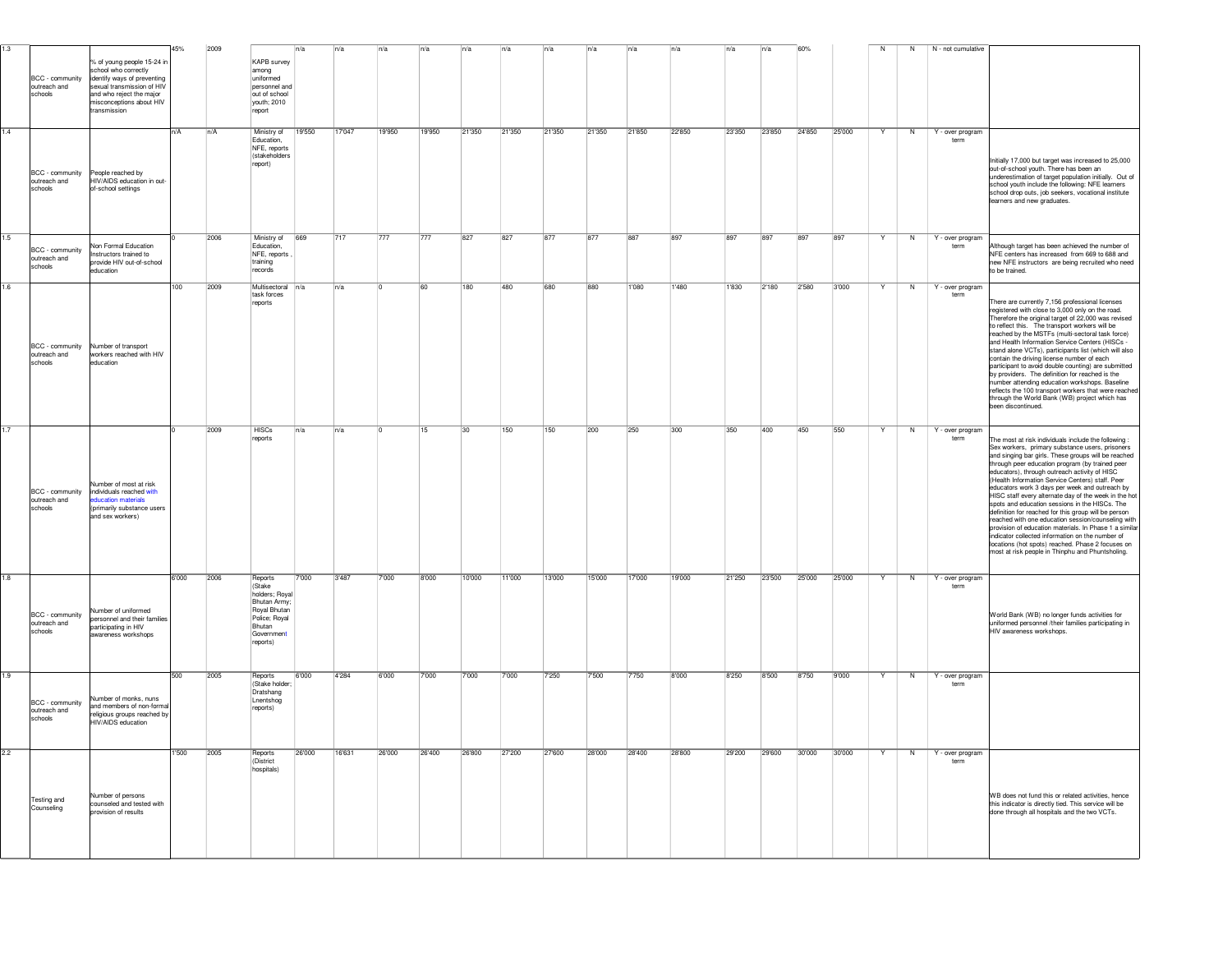| 1.3 | BCC - community<br>outreach and<br>schools | % of young people 15-24 in<br>school who correctly<br>identify ways of preventing<br>sexual transmission of HIV<br>and who reject the major<br>nisconceptions about HIV<br>transmission | 45%   | 2009 | KAPB survey<br>among<br>uniformed<br>personnel and<br>out of school<br>youth; 2010<br>report                            |        |        |        |        |        |        |        |        |        |        |        |        |        |        | N | N  | N - not cumulative       |                                                                                                                                                                                                                                                                                                                                                                                                                                                                                                                                                                                                                                                                                                                                                                                                                          |
|-----|--------------------------------------------|-----------------------------------------------------------------------------------------------------------------------------------------------------------------------------------------|-------|------|-------------------------------------------------------------------------------------------------------------------------|--------|--------|--------|--------|--------|--------|--------|--------|--------|--------|--------|--------|--------|--------|---|----|--------------------------|--------------------------------------------------------------------------------------------------------------------------------------------------------------------------------------------------------------------------------------------------------------------------------------------------------------------------------------------------------------------------------------------------------------------------------------------------------------------------------------------------------------------------------------------------------------------------------------------------------------------------------------------------------------------------------------------------------------------------------------------------------------------------------------------------------------------------|
| 1.4 | BCC - community<br>outreach and<br>schools | People reached by<br>HIV/AIDS education in out-<br>of-school settings                                                                                                                   | n/A   | n/A  | Ministry of<br>Education.<br>NFE, reports<br><i><b>Istakeholders</b></i><br>report)                                     | 19'550 | 17'047 | 19'950 | 19'950 | 21'350 | 21'350 | 21'350 | 21'350 | 21'850 | 22'850 | 23'350 | 23'850 | 24'850 | 25'000 |   | N  | Y - over program<br>term | Initially 17,000 but target was increased to 25,000<br>out-of-school youth. There has been an<br>underestimation of target population initially. Out of<br>school youth include the following: NFE learners<br>school drop outs, job seekers, vocational institute<br>learners and new graduates.                                                                                                                                                                                                                                                                                                                                                                                                                                                                                                                        |
| 1.5 | BCC - community<br>outreach and<br>schools | <b>Non Formal Education</b><br>Instructors trained to<br>provide HIV out-of-school<br>education                                                                                         |       | 2006 | Ministry of<br>Education,<br>NFE, reports<br>training<br>records                                                        | 669    | 717    | 777    | 777    | 827    | 827    | 877    | 877    | 887    | 897    | 897    | 1897   | 897    | 1897   |   | N  | Y - over program<br>term | Ithough target has been achieved the number of<br>NFE centers has increased from 669 to 688 and<br>new NFE instructors are being recruited who need<br>to be trained.                                                                                                                                                                                                                                                                                                                                                                                                                                                                                                                                                                                                                                                    |
| 1.6 | BCC - community<br>outreach and<br>schools | Number of transport<br>workers reached with HIV<br>education                                                                                                                            | 100   | 2009 | Multisectoral<br>task forces<br>reports                                                                                 | n/a    | n/a    |        |        | 180    | 480    | 680    | 880    | 1'080  | 1'480  | 1'830  | 2'180  | 2'580  | 3'000  |   | N  | Y - over program<br>term | There are currently 7,156 professional licenses<br>registered with close to 3,000 only on the road.<br>Therefore the original target of 22,000 was revised<br>to reflect this. The transport workers will be<br>reached by the MSTFs (multi-sectoral task force)<br>and Health Information Service Centers (HISCs -<br>stand alone VCTs), participants list (which will also<br>contain the driving license number of each<br>participant to avoid double counting) are submitted<br>by providers. The definition for reached is the<br>number attending education workshops. Baseline<br>reflects the 100 transport workers that were reached<br>through the World Bank (WB) project which has<br>een discontinued.                                                                                                     |
| 1.7 | BCC - community<br>outreach and<br>schools | Number of most at risk<br>individuals reached with<br><b>cation</b> materials<br>(primarily substance users<br>and sex workers)                                                         |       | 2009 | <b>HISCs</b><br>reports                                                                                                 | n/a    | n/a    |        |        | 30     | 150    | 150    | 200    | 250    | 300    | 350    | 400    | 450    | 550    | Y | N  | Y - over program<br>term | The most at risk individuals include the following :<br>Sex workers, primary substance users, prisoners<br>and singing bar girls. These groups will be reached<br>through peer education program (by trained peer<br>educators), through outreach activity of HISC<br>(Health Information Service Centers) staff. Peer<br>educators work 3 days per week and outreach by<br>HISC staff every alternate day of the week in the hot<br>spots and education sessions in the HISCs. The<br>definition for reached for this group will be person<br>reached with one education session/counseling with<br>provision of education materials. In Phase 1 a similar<br>indicator collected information on the number of<br>locations (hot spots) reached. Phase 2 focuses on<br>most at risk people in Thinphu and Phuntsholing. |
| 1.8 | BCC - community<br>outreach and<br>schools | Number of uniformed<br>personnel and their families<br>participating in HIV<br>awareness workshops                                                                                      | 6'000 | 2006 | Reports<br>(Stake<br>holders; Royal<br>Bhutan Army<br>Royal Bhutan<br>Police; Royal<br>Bhutan<br>Government<br>reports) | 7'000  | 3'487  | 7'000  | 8'000  | 10'000 | 11'000 | 13'000 | 15'000 | 17'000 | 19'000 | 21'250 | 23'500 | 25'000 | 25'000 |   | 'N | Y - over program<br>term | World Bank (WB) no longer funds activities for<br>uniformed personnel /their families participating in<br>HIV awareness workshops.                                                                                                                                                                                                                                                                                                                                                                                                                                                                                                                                                                                                                                                                                       |
| 1.9 | BCC - community<br>outreach and<br>schools | Number of monks, nuns<br>and members of non-formal<br>religious groups reached by<br>HIV/AIDS education                                                                                 | 500   | 2005 | Reports<br>(Stake holder<br>Dratshang<br>Lnentshog<br>reports)                                                          | 6'000  | 4'284  | 6'000  | 7'000  | 7'000  | 7'000  | 7'250  | 7500   | 7750   | 8'000  | 8'250  | 8'500  | 8'750  | 9'000  |   | N  | Y - over program<br>term |                                                                                                                                                                                                                                                                                                                                                                                                                                                                                                                                                                                                                                                                                                                                                                                                                          |
| 2.2 | Testing and<br>Counseling                  | Number of persons<br>counseled and tested with<br>provision of results                                                                                                                  | 1'500 | 2005 | Reports<br>(District<br>hospitals)                                                                                      | 26'000 | 16'631 | 26'000 | 26'400 | 26'800 | 27'200 | 27'600 | 28'000 | 28'400 | 28'800 | 29'200 | 29'600 | 30'000 | 30'000 | Y | N  | Y - over program<br>term | WB does not fund this or related activities, hence<br>this indicator is directly tied. This service will be<br>done through all hospitals and the two VCTs.                                                                                                                                                                                                                                                                                                                                                                                                                                                                                                                                                                                                                                                              |